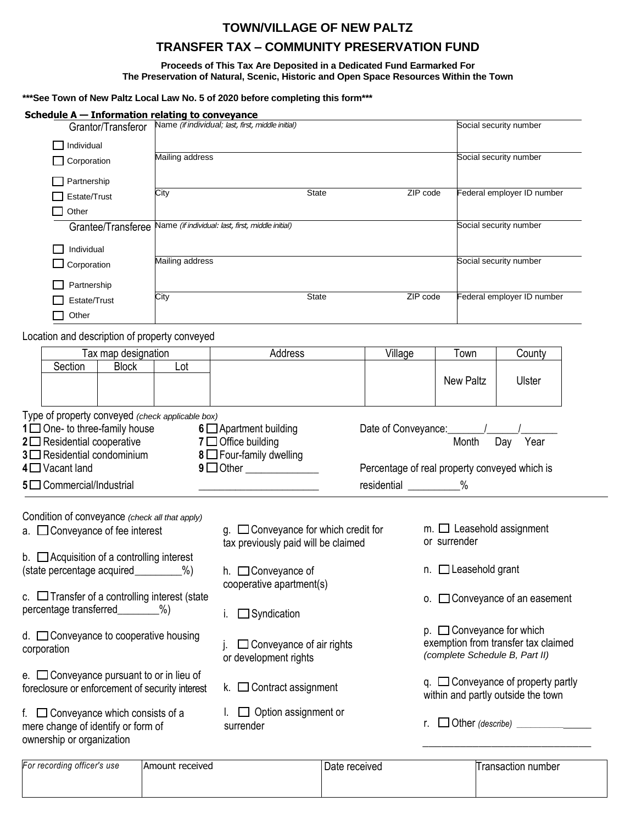## **TOWN/VILLAGE OF NEW PALTZ**

# **TRANSFER TAX – COMMUNITY PRESERVATION FUND**

**Proceeds of This Tax Are Deposited in a Dedicated Fund Earmarked For The Preservation of Natural, Scenic, Historic and Open Space Resources Within the Town** 

### **\*\*\*See Town of New Paltz Local Law No. 5 of 2020 before completing this form\*\*\***

| Schedule $A - Information$ relating to conveyance                                                                                                                                                                                           |                     |                                                   |                                                                                                                  |                                                                                                   |                         |                                                                       |                                  |  |
|---------------------------------------------------------------------------------------------------------------------------------------------------------------------------------------------------------------------------------------------|---------------------|---------------------------------------------------|------------------------------------------------------------------------------------------------------------------|---------------------------------------------------------------------------------------------------|-------------------------|-----------------------------------------------------------------------|----------------------------------|--|
|                                                                                                                                                                                                                                             | Grantor/Transferor  | Name (if individual; last, first, middle initial) |                                                                                                                  |                                                                                                   |                         |                                                                       | Social security number           |  |
| $\Box$ Individual<br>Mailing address                                                                                                                                                                                                        |                     |                                                   |                                                                                                                  |                                                                                                   |                         | Social security number                                                |                                  |  |
| $\Box$ Corporation                                                                                                                                                                                                                          |                     |                                                   |                                                                                                                  |                                                                                                   |                         |                                                                       |                                  |  |
| Partnership                                                                                                                                                                                                                                 |                     |                                                   |                                                                                                                  |                                                                                                   |                         |                                                                       |                                  |  |
| City<br>Estate/Trust                                                                                                                                                                                                                        |                     |                                                   | <b>State</b>                                                                                                     | ZIP code                                                                                          |                         | Federal employer ID number                                            |                                  |  |
| Other                                                                                                                                                                                                                                       |                     |                                                   |                                                                                                                  |                                                                                                   |                         |                                                                       |                                  |  |
|                                                                                                                                                                                                                                             | Grantee/Transferee  |                                                   | Name (if individual: last, first, middle initial)                                                                |                                                                                                   |                         |                                                                       | Social security number           |  |
| Individual                                                                                                                                                                                                                                  |                     |                                                   |                                                                                                                  |                                                                                                   |                         |                                                                       |                                  |  |
| Corporation                                                                                                                                                                                                                                 |                     | Mailing address                                   |                                                                                                                  |                                                                                                   |                         | Social security number                                                |                                  |  |
| Partnership                                                                                                                                                                                                                                 |                     |                                                   |                                                                                                                  |                                                                                                   |                         |                                                                       |                                  |  |
| Estate/Trust                                                                                                                                                                                                                                |                     | City                                              | State<br>ZIP code                                                                                                |                                                                                                   |                         | Federal employer ID number                                            |                                  |  |
| Other                                                                                                                                                                                                                                       |                     |                                                   |                                                                                                                  |                                                                                                   |                         |                                                                       |                                  |  |
| Location and description of property conveyed                                                                                                                                                                                               |                     |                                                   |                                                                                                                  |                                                                                                   |                         |                                                                       |                                  |  |
|                                                                                                                                                                                                                                             | Tax map designation |                                                   | Address                                                                                                          | Village                                                                                           |                         | Town                                                                  | County                           |  |
| Section                                                                                                                                                                                                                                     | <b>Block</b>        | Lot                                               |                                                                                                                  |                                                                                                   |                         |                                                                       |                                  |  |
|                                                                                                                                                                                                                                             |                     |                                                   |                                                                                                                  |                                                                                                   |                         | <b>New Paltz</b>                                                      | Ulster                           |  |
| Type of property conveyed (check applicable box)<br>$1 \square$ One- to three-family house<br>$2 \square$ Residential cooperative<br>$3 \square$ Residential condominium<br>$4 \square$ Vacant land<br>5 <sup>1</sup> Commercial/Industrial |                     |                                                   | $6 \square$ Apartment building<br>$7 \square$ Office building<br>8 Four-family dwelling<br>$9 \Box$ Other        | Date of Conveyance:<br>Percentage of real property conveyed which is<br>residential ___________ % |                         | Month                                                                 | Year<br>Day                      |  |
|                                                                                                                                                                                                                                             |                     |                                                   |                                                                                                                  |                                                                                                   |                         |                                                                       |                                  |  |
| Condition of conveyance (check all that apply)<br>a. $\Box$ Conveyance of fee interest                                                                                                                                                      |                     |                                                   | $g.$ $\Box$ Conveyance for which credit for<br>or surrender<br>tax previously paid will be claimed               |                                                                                                   |                         |                                                                       | $m.$ $\Box$ Leasehold assignment |  |
| b. $\Box$ Acquisition of a controlling interest                                                                                                                                                                                             |                     |                                                   |                                                                                                                  |                                                                                                   |                         |                                                                       |                                  |  |
| (state percentage acquired_________%)                                                                                                                                                                                                       |                     |                                                   | h. $\Box$ Conveyance of                                                                                          |                                                                                                   |                         | $n.$ $\Box$ Leasehold grant                                           |                                  |  |
| c. $\Box$ Transfer of a controlling interest (state                                                                                                                                                                                         |                     |                                                   | cooperative apartment(s)                                                                                         |                                                                                                   |                         |                                                                       | o. □ Conveyance of an easement   |  |
| percentage transferred_<br>%                                                                                                                                                                                                                |                     |                                                   | $\Box$ Syndication                                                                                               |                                                                                                   |                         |                                                                       |                                  |  |
|                                                                                                                                                                                                                                             |                     |                                                   |                                                                                                                  |                                                                                                   |                         |                                                                       | $p.$ $\Box$ Conveyance for which |  |
| d. □ Conveyance to cooperative housing<br>corporation                                                                                                                                                                                       |                     |                                                   | $\Box$ Conveyance of air rights<br>or development rights                                                         |                                                                                                   |                         | exemption from transfer tax claimed<br>(complete Schedule B, Part II) |                                  |  |
| e. $\Box$ Conveyance pursuant to or in lieu of                                                                                                                                                                                              |                     |                                                   |                                                                                                                  |                                                                                                   |                         |                                                                       |                                  |  |
| foreclosure or enforcement of security interest                                                                                                                                                                                             |                     |                                                   | $q.$ $\Box$ Conveyance of property partly<br>k. $\Box$ Contract assignment<br>within and partly outside the town |                                                                                                   |                         |                                                                       |                                  |  |
| f. $\Box$ Conveyance which consists of a<br>mere change of identify or form of                                                                                                                                                              |                     |                                                   | $\Box$ Option assignment or<br>r.<br>surrender                                                                   |                                                                                                   | $\Box$ Other (describe) |                                                                       |                                  |  |
| ownership or organization                                                                                                                                                                                                                   |                     |                                                   |                                                                                                                  |                                                                                                   |                         |                                                                       |                                  |  |
|                                                                                                                                                                                                                                             |                     |                                                   |                                                                                                                  |                                                                                                   |                         |                                                                       |                                  |  |

| For recording officer's use | Amount received | Date received | Transaction number |
|-----------------------------|-----------------|---------------|--------------------|
|                             |                 |               |                    |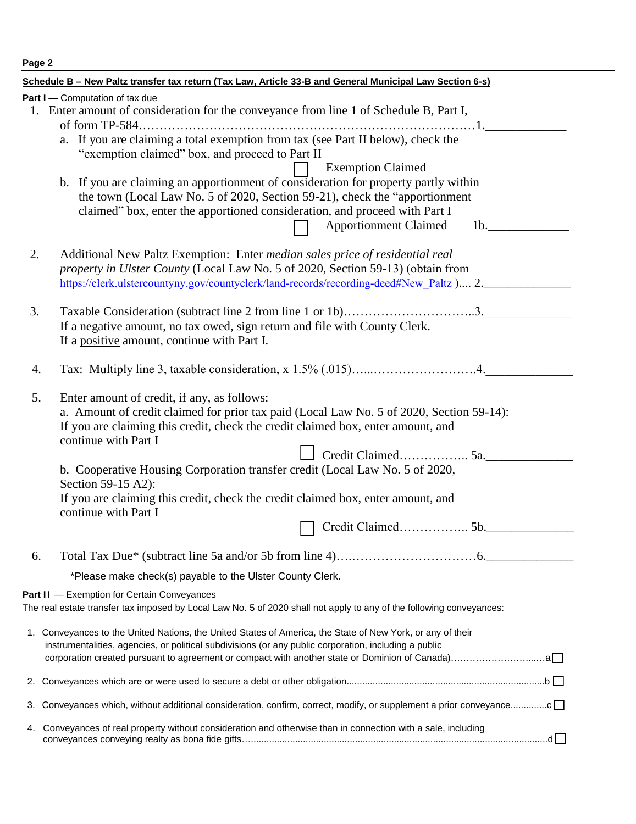| Page 2                                                                                                                                                                                                                                                                                                                                                                                                                                                                                                                                                                                                         |  |  |  |  |
|----------------------------------------------------------------------------------------------------------------------------------------------------------------------------------------------------------------------------------------------------------------------------------------------------------------------------------------------------------------------------------------------------------------------------------------------------------------------------------------------------------------------------------------------------------------------------------------------------------------|--|--|--|--|
| Schedule B - New Paltz transfer tax return (Tax Law, Article 33-B and General Municipal Law Section 6-s)                                                                                                                                                                                                                                                                                                                                                                                                                                                                                                       |  |  |  |  |
| Part I - Computation of tax due<br>1. Enter amount of consideration for the conveyance from line 1 of Schedule B, Part I,<br>of form TP-584.<br>a. If you are claiming a total exemption from tax (see Part II below), check the<br>"exemption claimed" box, and proceed to Part II<br><b>Exemption Claimed</b><br>b. If you are claiming an apportionment of consideration for property partly within<br>the town (Local Law No. 5 of 2020, Section 59-21), check the "apportionment"<br>claimed" box, enter the apportioned consideration, and proceed with Part I<br><b>Apportionment Claimed</b><br>$1b$ . |  |  |  |  |
| 2.<br>Additional New Paltz Exemption: Enter median sales price of residential real<br>property in Ulster County (Local Law No. 5 of 2020, Section 59-13) (obtain from<br>https://clerk.ulstercountyny.gov/countyclerk/land-records/recording-deed#New Paltz ) 2.                                                                                                                                                                                                                                                                                                                                               |  |  |  |  |
| 3.<br>Taxable Consideration (subtract line 2 from line 1 or 1b)3.<br>If a negative amount, no tax owed, sign return and file with County Clerk.<br>If a positive amount, continue with Part I.                                                                                                                                                                                                                                                                                                                                                                                                                 |  |  |  |  |
| 4.                                                                                                                                                                                                                                                                                                                                                                                                                                                                                                                                                                                                             |  |  |  |  |
| 5.<br>Enter amount of credit, if any, as follows:<br>a. Amount of credit claimed for prior tax paid (Local Law No. 5 of 2020, Section 59-14):<br>If you are claiming this credit, check the credit claimed box, enter amount, and<br>continue with Part I<br>b. Cooperative Housing Corporation transfer credit (Local Law No. 5 of 2020,<br>Section 59-15 A2):<br>If you are claiming this credit, check the credit claimed box, enter amount, and<br>continue with Part I<br>Credit Claimed 5b.                                                                                                              |  |  |  |  |
| 6.                                                                                                                                                                                                                                                                                                                                                                                                                                                                                                                                                                                                             |  |  |  |  |
| *Please make check(s) payable to the Ulster County Clerk.                                                                                                                                                                                                                                                                                                                                                                                                                                                                                                                                                      |  |  |  |  |
| Part II - Exemption for Certain Conveyances<br>The real estate transfer tax imposed by Local Law No. 5 of 2020 shall not apply to any of the following conveyances:                                                                                                                                                                                                                                                                                                                                                                                                                                            |  |  |  |  |
| 1. Conveyances to the United Nations, the United States of America, the State of New York, or any of their<br>instrumentalities, agencies, or political subdivisions (or any public corporation, including a public                                                                                                                                                                                                                                                                                                                                                                                            |  |  |  |  |
| 2.                                                                                                                                                                                                                                                                                                                                                                                                                                                                                                                                                                                                             |  |  |  |  |
| Conveyances which, without additional consideration, confirm, correct, modify, or supplement a prior conveyancec<br>3.                                                                                                                                                                                                                                                                                                                                                                                                                                                                                         |  |  |  |  |
| Conveyances of real property without consideration and otherwise than in connection with a sale, including<br>4.                                                                                                                                                                                                                                                                                                                                                                                                                                                                                               |  |  |  |  |